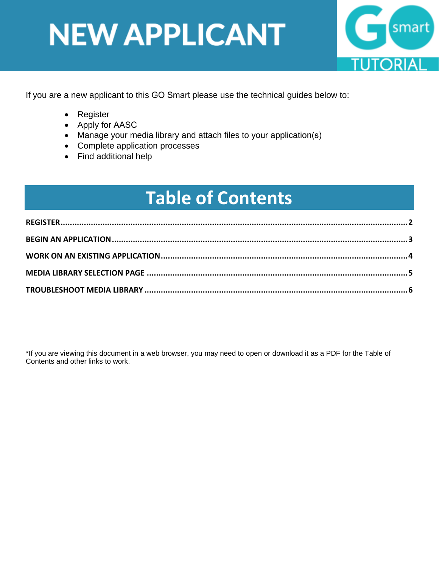

<span id="page-0-0"></span>If you are a new applicant to this GO Smart please use the technical guides below to:

- Register
- Apply for AASC
- Manage your media library and attach files to your application(s)
- Complete application processes
- Find additional help

### **Table of Contents**

\*If you are viewing this document in a web browser, you may need to open or download it as a PDF for the Table of Contents and other links to work.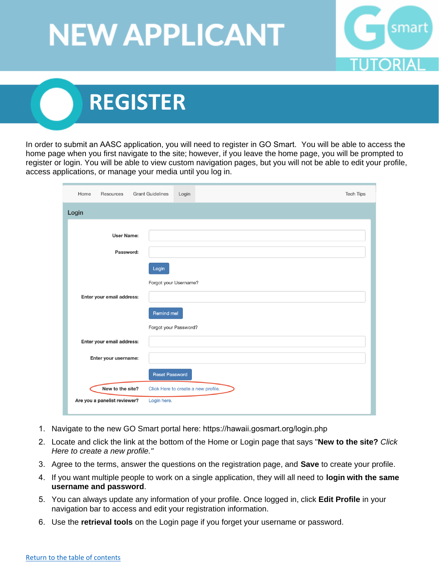

### <span id="page-1-0"></span> **REGISTER**

In order to submit an AASC application, you will need to register in GO Smart. You will be able to access the home page when you first navigate to the site; however, if you leave the home page, you will be prompted to register or login. You will be able to view custom navigation pages, but you will not be able to edit your profile, access applications, or manage your media until you log in.

| Home<br>Resources            | <b>Grant Guidelines</b><br>Login    | <b>Tech Tips</b> |
|------------------------------|-------------------------------------|------------------|
| Login                        |                                     |                  |
| <b>User Name:</b>            |                                     |                  |
| Password:                    |                                     |                  |
|                              | Login                               |                  |
| Enter your email address:    | Forgot your Username?               |                  |
|                              | Remind me!                          |                  |
|                              | Forgot your Password?               |                  |
| Enter your email address:    |                                     |                  |
| Enter your username:         |                                     |                  |
|                              | <b>Reset Password</b>               |                  |
| New to the site?             | Click Here to create a new profile. |                  |
| Are you a panelist reviewer? | Login here.                         |                  |

- 1. Navigate to the new GO Smart portal here:<https://hawaii.gosmart.org/login.php>
- 2. Locate and click the link at the bottom of the Home or Login page that says "**New to the site?** *Click Here to create a new profile."*
- 3. Agree to the terms, answer the questions on the registration page, and **Save** to create your profile.
- 4. If you want multiple people to work on a single application, they will all need to **login with the same username and password**.
- 5. You can always update any information of your profile. Once logged in, click **Edit Profile** in your navigation bar to access and edit your registration information.
- 6. Use the **retrieval tools** on the Login page if you forget your username or password.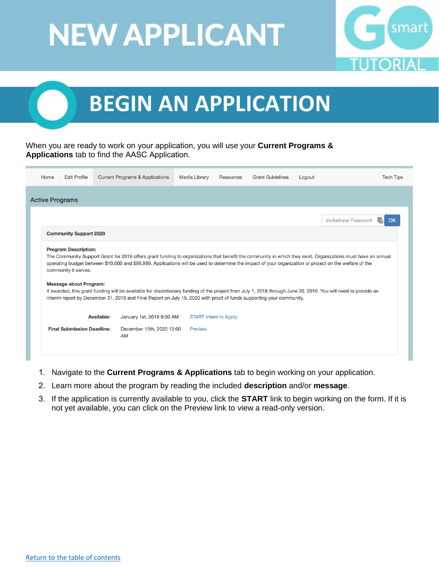

## <span id="page-2-0"></span> **BEGIN AN APPLICATION**

#### When you are ready to work on your application, you will use your **Current Programs & Applications** tab to find the AASC Application.

| Home                                                                                                                                                                                                                                                                                                                                                                                                                                                                                                       | <b>Edit Profile</b>               | <b>Current Programs &amp; Applications</b> | Media Library | Resources                    | <b>Grant Guidelines</b> | Logout |                              | <b>Tech Tips</b> |
|------------------------------------------------------------------------------------------------------------------------------------------------------------------------------------------------------------------------------------------------------------------------------------------------------------------------------------------------------------------------------------------------------------------------------------------------------------------------------------------------------------|-----------------------------------|--------------------------------------------|---------------|------------------------------|-------------------------|--------|------------------------------|------------------|
| <b>Active Programs</b>                                                                                                                                                                                                                                                                                                                                                                                                                                                                                     |                                   |                                            |               |                              |                         |        |                              |                  |
|                                                                                                                                                                                                                                                                                                                                                                                                                                                                                                            |                                   |                                            |               |                              |                         |        |                              |                  |
|                                                                                                                                                                                                                                                                                                                                                                                                                                                                                                            |                                   |                                            |               |                              |                         |        | <b>Invitational Password</b> |                  |
|                                                                                                                                                                                                                                                                                                                                                                                                                                                                                                            | <b>Community Support 2020</b>     |                                            |               |                              |                         |        |                              |                  |
| operating budget between \$10,000 and \$99,999. Applications will be used to determine the impact of your organization or project on the welfare of the<br>community it serves.<br><b>Message about Program:</b><br>If awarded, this grant funding will be available for discretionary funding of the project from July 1, 2018 through June 30, 2019. You will need to provide an<br>interim report by December 31, 2019 and Final Report on July 15, 2020 with proof of funds supporting your community. |                                   |                                            |               |                              |                         |        |                              |                  |
|                                                                                                                                                                                                                                                                                                                                                                                                                                                                                                            |                                   |                                            |               |                              |                         |        |                              |                  |
|                                                                                                                                                                                                                                                                                                                                                                                                                                                                                                            |                                   | Available:<br>January 1st, 2019 9:00 AM    |               | <b>START Intent to Apply</b> |                         |        |                              |                  |
|                                                                                                                                                                                                                                                                                                                                                                                                                                                                                                            | <b>Final Submission Deadline:</b> | December 15th, 2020 12:00<br>AM            | Preview       |                              |                         |        |                              |                  |
|                                                                                                                                                                                                                                                                                                                                                                                                                                                                                                            |                                   |                                            |               |                              |                         |        |                              |                  |

- 1. Navigate to the **Current Programs & Applications** tab to begin working on your application.
- 2. Learn more about the program by reading the included **description** and/or **message**.
- 3. If the application is currently available to you, click the **START** link to begin working on the form. If it is not yet available, you can click on the Preview link to view a read-only version.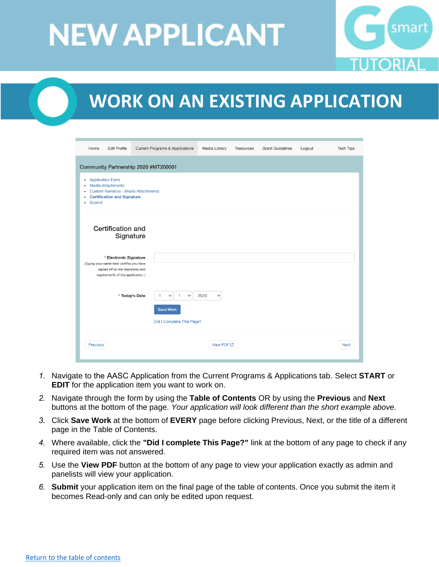

### <span id="page-3-0"></span> **WORK ON AN EXISTING APPLICATION**

| Home                                                    | <b>Edit Profile</b>                                                                                                                          | <b>Current Programs &amp; Applications</b>                                         | Media Library        | Resources | <b>Grant Guidelines</b> | Logout | <b>Tech Tips</b> |
|---------------------------------------------------------|----------------------------------------------------------------------------------------------------------------------------------------------|------------------------------------------------------------------------------------|----------------------|-----------|-------------------------|--------|------------------|
|                                                         |                                                                                                                                              | Community Partnership 2020 #MT200001                                               |                      |           |                         |        |                  |
| $\bullet$<br>٠<br>٠<br>$\bullet$<br>Submit<br>$\bullet$ | <b>Application Form</b><br><b>Media Attachments</b><br><b>Certification and Signature</b>                                                    | <b>Custom Narrative - Media Attachments</b>                                        |                      |           |                         |        |                  |
|                                                         | <b>Certification and</b><br>Signature                                                                                                        |                                                                                    |                      |           |                         |        |                  |
|                                                         | * Electronic Signature<br>(Typing your name here certifies you have<br>signed off on the responses and<br>requirements of this application.) |                                                                                    |                      |           |                         |        |                  |
|                                                         |                                                                                                                                              | * Today's Date<br>$\mathbf{1}$<br>$\checkmark$<br>$\checkmark$<br><b>Save Work</b> | 2020<br>$\checkmark$ |           |                         |        |                  |
|                                                         |                                                                                                                                              | Did I Complete This Page?                                                          |                      |           |                         |        |                  |
| Previous                                                |                                                                                                                                              |                                                                                    | <b>View PDF</b> A    |           |                         |        | <b>Next</b>      |

- *1.* Navigate to the AASC Application from the Current Programs & Applications tab. Select **START** or **EDIT** for the application item you want to work on.
- *2.* Navigate through the form by using the **Table of Contents** OR by using the **Previous** and **Next** buttons at the bottom of the page. *Your application will look different than the short example above.*
- *3.* Click **Save Work** at the bottom of **EVERY** page before clicking Previous, Next, or the title of a different page in the Table of Contents.
- *4.* Where available, click the **"Did I complete This Page?"** link at the bottom of any page to check if any required item was not answered.
- *5.* Use the **View PDF** button at the bottom of any page to view your application exactly as admin and panelists will view your application.
- *6.* **Submit** your application item on the final page of the table of contents. Once you submit the item it becomes Read-only and can only be edited upon request.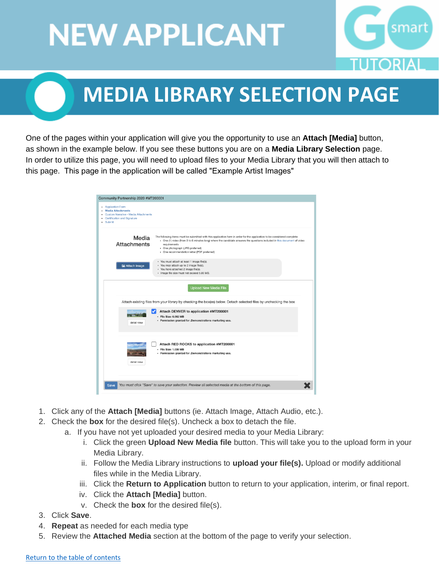

### **MEDIA LIBRARY SELECTION PAGE**

<span id="page-4-0"></span>One of the pages within your application will give you the opportunity to use an **Attach [Media]** button, as shown in the example below. If you see these buttons you are on a **Media Library Selection** page. In order to utilize this page, you will need to upload files to your Media Library that you will then attach to this page. This page in the application will be called "Example Artist Images"

| Community Partnership 2020 #MT200001<br>• Application Form                                                         |                                                                                                                                                                                                                                                                                                                                                        |
|--------------------------------------------------------------------------------------------------------------------|--------------------------------------------------------------------------------------------------------------------------------------------------------------------------------------------------------------------------------------------------------------------------------------------------------------------------------------------------------|
| <b>Media Attachments</b><br>Custom Narrative - Media Attachments<br><b>Certification and Signature</b><br>· Submit |                                                                                                                                                                                                                                                                                                                                                        |
| Media<br><b>Attachments</b>                                                                                        | The following items must be submitted with this application form in order for the application to be considered complete:<br>- One (1) video (from 3 to 6 minutes long) where the candidate answers the questions included in this document of video<br>requirements<br>- One photograph (JPG preferred)<br>- One recommendation letter (PDF preferred) |
| Attach Image                                                                                                       | · You must attach at least 1 image file(s).<br>• You may attach up to 2 image file(s).<br>· You have attached 2 image file(s).<br>· Image file size must not exceed 5.00 MB.                                                                                                                                                                           |
|                                                                                                                    | <b>Upload New Media File</b>                                                                                                                                                                                                                                                                                                                           |
|                                                                                                                    | Attach existing files from your library by checking the box(es) below. Detach selected files by unchecking the box                                                                                                                                                                                                                                     |
| detail view                                                                                                        | Attach DENVER to application #MT200001<br>· File Size: 0.062 MB<br>- Permission granted for .Demonstrations marketing use.                                                                                                                                                                                                                             |
| detail view                                                                                                        | Attach RED ROCKS to application #MT200001<br>· File Size: 1.038 MB<br>- Permission granted for .Demonstrations marketing use.                                                                                                                                                                                                                          |
| Save                                                                                                               | You must click "Save" to save your selection. Preview all selected media at the bottom of this page.                                                                                                                                                                                                                                                   |

- 1. Click any of the **Attach [Media]** buttons (ie. Attach Image, Attach Audio, etc.).
- 2. Check the **box** for the desired file(s). Uncheck a box to detach the file.
	- a. If you have not yet uploaded your desired media to your Media Library:
		- i. Click the green **Upload New Media file** button. This will take you to the upload form in your Media Library.
		- ii. Follow the Media Library instructions to **upload your file(s).** Upload or modify additional files while in the Media Library.
		- iii. Click the **Return to Application** button to return to your application, interim, or final report.
		- iv. Click the **Attach [Media]** button.
		- v. Check the **box** for the desired file(s).
- 3. Click **Save**.
- 4. **Repeat** as needed for each media type
- 5. Review the **Attached Media** section at the bottom of the page to verify your selection.

#### [Return to the table of contents](#page-0-0)